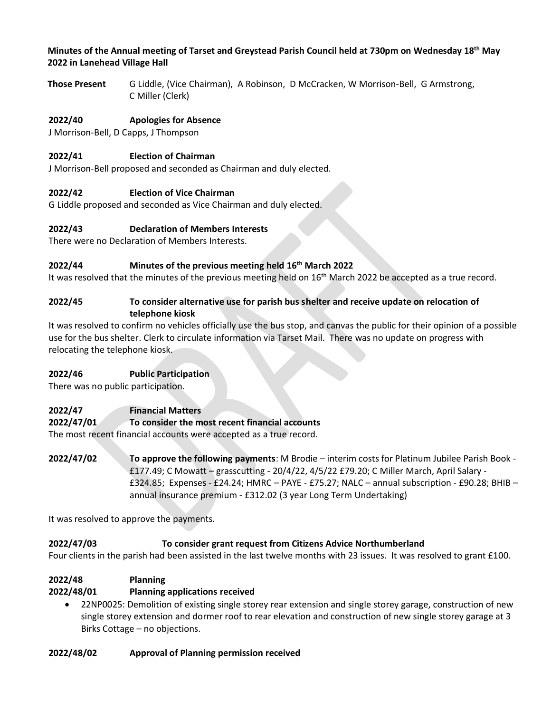#### **Minutes of the Annual meeting of Tarset and Greystead Parish Council held at 730pm on Wednesday 18 th May 2022 in Lanehead Village Hall**

**Those Present** G Liddle, (Vice Chairman), A Robinson, D McCracken, W Morrison-Bell, G Armstrong, C Miller (Clerk)

# **2022/40 Apologies for Absence**

J Morrison-Bell, D Capps, J Thompson

# **2022/41 Election of Chairman**

J Morrison-Bell proposed and seconded as Chairman and duly elected.

# **2022/42 Election of Vice Chairman**

G Liddle proposed and seconded as Vice Chairman and duly elected.

### **2022/43 Declaration of Members Interests**

There were no Declaration of Members Interests.

### **2022/44 Minutes of the previous meeting held 16th March 2022**

It was resolved that the minutes of the previous meeting held on 16th March 2022 be accepted as a true record.

#### **2022/45 To consider alternative use for parish bus shelter and receive update on relocation of telephone kiosk**

It was resolved to confirm no vehicles officially use the bus stop, and canvas the public for their opinion of a possible use for the bus shelter. Clerk to circulate information via Tarset Mail. There was no update on progress with relocating the telephone kiosk.

#### **2022/46 Public Participation**

There was no public participation.

# **2022/47 Financial Matters**

**2022/47/01 To consider the most recent financial accounts**

The most recent financial accounts were accepted as a true record.

**2022/47/02 To approve the following payments**: M Brodie – interim costs for Platinum Jubilee Parish Book - £177.49; C Mowatt – grasscutting - 20/4/22, 4/5/22 £79.20; C Miller March, April Salary - £324.85; Expenses - £24.24; HMRC – PAYE - £75.27; NALC – annual subscription - £90.28; BHIB – annual insurance premium - £312.02 (3 year Long Term Undertaking)

It was resolved to approve the payments.

# **2022/47/03 To consider grant request from Citizens Advice Northumberland**

Four clients in the parish had been assisted in the last twelve months with 23 issues. It was resolved to grant £100.

# **2022/48 Planning**

# **2022/48/01 Planning applications received**

• 22NP0025: Demolition of existing single storey rear extension and single storey garage, construction of new single storey extension and dormer roof to rear elevation and construction of new single storey garage at 3 Birks Cottage – no objections.

# **2022/48/02 Approval of Planning permission received**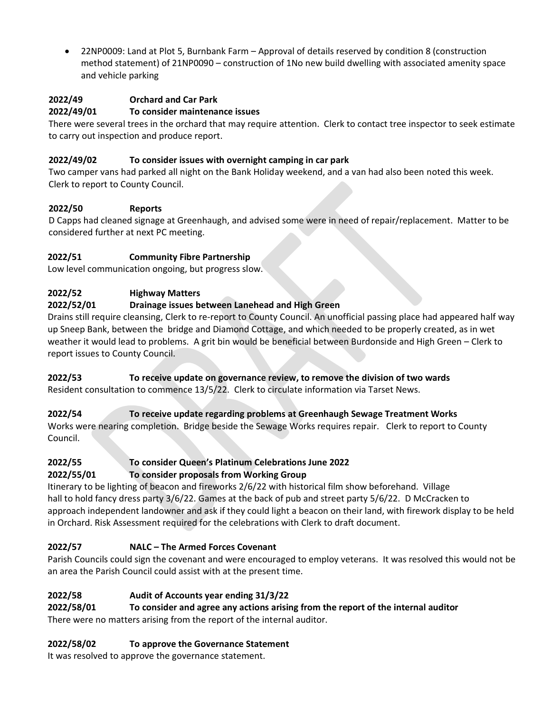• 22NP0009: Land at Plot 5, Burnbank Farm – Approval of details reserved by condition 8 (construction method statement) of 21NP0090 – construction of 1No new build dwelling with associated amenity space and vehicle parking

# **2022/49 Orchard and Car Park**

#### **2022/49/01 To consider maintenance issues**

There were several trees in the orchard that may require attention. Clerk to contact tree inspector to seek estimate to carry out inspection and produce report.

### **2022/49/02 To consider issues with overnight camping in car park**

Two camper vans had parked all night on the Bank Holiday weekend, and a van had also been noted this week. Clerk to report to County Council.

### **2022/50 Reports**

D Capps had cleaned signage at Greenhaugh, and advised some were in need of repair/replacement. Matter to be considered further at next PC meeting.

### **2022/51 Community Fibre Partnership**

Low level communication ongoing, but progress slow.

### **2022/52 Highway Matters**

### **2022/52/01 Drainage issues between Lanehead and High Green**

Drains still require cleansing, Clerk to re-report to County Council. An unofficial passing place had appeared half way up Sneep Bank, between the bridge and Diamond Cottage, and which needed to be properly created, as in wet weather it would lead to problems. A grit bin would be beneficial between Burdonside and High Green – Clerk to report issues to County Council.

#### **2022/53 To receive update on governance review, to remove the division of two wards** Resident consultation to commence 13/5/22. Clerk to circulate information via Tarset News.

**2022/54 To receive update regarding problems at Greenhaugh Sewage Treatment Works** Works were nearing completion. Bridge beside the Sewage Works requires repair. Clerk to report to County Council.

#### **2022/55 To consider Queen's Platinum Celebrations June 2022 2022/55/01 To consider proposals from Working Group**

Itinerary to be lighting of beacon and fireworks 2/6/22 with historical film show beforehand. Village hall to hold fancy dress party 3/6/22. Games at the back of pub and street party 5/6/22. D McCracken to approach independent landowner and ask if they could light a beacon on their land, with firework display to be held in Orchard. Risk Assessment required for the celebrations with Clerk to draft document.

# **2022/57 NALC – The Armed Forces Covenant**

Parish Councils could sign the covenant and were encouraged to employ veterans. It was resolved this would not be an area the Parish Council could assist with at the present time.

# **2022/58 Audit of Accounts year ending 31/3/22**

**2022/58/01 To consider and agree any actions arising from the report of the internal auditor**

There were no matters arising from the report of the internal auditor.

# **2022/58/02 To approve the Governance Statement**

It was resolved to approve the governance statement.